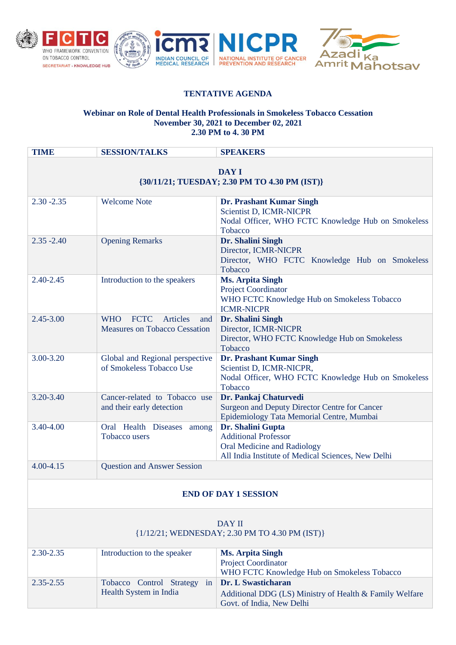



## **TENTATIVE AGENDA**

## **Webinar on Role of Dental Health Professionals in Smokeless Tobacco Cessation November 30, 2021 to December 02, 2021 2.30 PM to 4. 30 PM**

| <b>TIME</b>                                              | <b>SESSION/TALKS</b>                                                                        | <b>SPEAKERS</b>                                                                                                                       |  |
|----------------------------------------------------------|---------------------------------------------------------------------------------------------|---------------------------------------------------------------------------------------------------------------------------------------|--|
| DAY I<br>{30/11/21; TUESDAY; 2.30 PM TO 4.30 PM (IST)}   |                                                                                             |                                                                                                                                       |  |
| $2.30 - 2.35$                                            | <b>Welcome Note</b>                                                                         | Dr. Prashant Kumar Singh<br>Scientist D, ICMR-NICPR<br>Nodal Officer, WHO FCTC Knowledge Hub on Smokeless<br>Tobacco                  |  |
| $2.35 - 2.40$                                            | <b>Opening Remarks</b>                                                                      | Dr. Shalini Singh<br>Director, ICMR-NICPR<br>Director, WHO FCTC Knowledge Hub on Smokeless<br>Tobacco                                 |  |
| 2.40-2.45                                                | Introduction to the speakers                                                                | <b>Ms. Arpita Singh</b><br><b>Project Coordinator</b><br>WHO FCTC Knowledge Hub on Smokeless Tobacco<br><b>ICMR-NICPR</b>             |  |
| $2.45 - 3.00$                                            | <b>FCTC</b><br><b>Articles</b><br><b>WHO</b><br>and<br><b>Measures on Tobacco Cessation</b> | Dr. Shalini Singh<br>Director, ICMR-NICPR<br>Director, WHO FCTC Knowledge Hub on Smokeless<br>Tobacco                                 |  |
| 3.00-3.20                                                | Global and Regional perspective<br>of Smokeless Tobacco Use                                 | Dr. Prashant Kumar Singh<br>Scientist D, ICMR-NICPR,<br>Nodal Officer, WHO FCTC Knowledge Hub on Smokeless<br>Tobacco                 |  |
| 3.20-3.40                                                | Cancer-related to Tobacco use<br>and their early detection                                  | Dr. Pankaj Chaturvedi<br><b>Surgeon and Deputy Director Centre for Cancer</b><br>Epidemiology Tata Memorial Centre, Mumbai            |  |
| 3.40-4.00                                                | Oral Health Diseases among<br><b>Tobacco users</b>                                          | Dr. Shalini Gupta<br><b>Additional Professor</b><br>Oral Medicine and Radiology<br>All India Institute of Medical Sciences, New Delhi |  |
| 4.00-4.15                                                | <b>Question and Answer Session</b>                                                          |                                                                                                                                       |  |
| <b>END OF DAY 1 SESSION</b>                              |                                                                                             |                                                                                                                                       |  |
| DAY II<br>{1/12/21; WEDNESDAY; 2.30 PM TO 4.30 PM (IST)} |                                                                                             |                                                                                                                                       |  |
| 2.30-2.35                                                | Introduction to the speaker                                                                 | <b>Ms. Arpita Singh</b><br><b>Project Coordinator</b><br>WHO FCTC Knowledge Hub on Smokeless Tobacco                                  |  |
| 2.35-2.55                                                | Tobacco Control Strategy<br>in<br>Health System in India                                    | Dr. L Swasticharan<br>Additional DDG (LS) Ministry of Health & Family Welfare<br>Govt. of India, New Delhi                            |  |